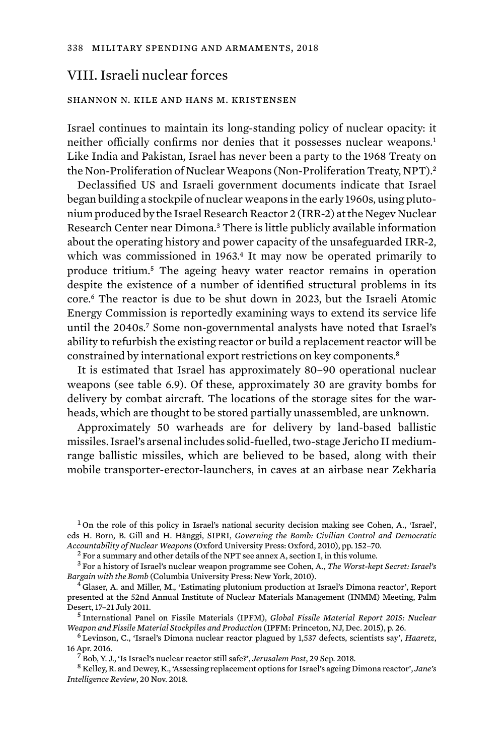## VIII. Israeli nuclear forces

## shannon n. kile and hans m. kristensen

Israel continues to maintain its long-standing policy of nuclear opacity: it neither officially confirms nor denies that it possesses nuclear weapons.<sup>1</sup> Like India and Pakistan, Israel has never been a party to the 1968 Treaty on the Non-Proliferation of Nuclear Weapons (Non-Proliferation Treaty, NPT).<sup>2</sup>

Declassified US and Israeli government documents indicate that Israel began building a stockpile of nuclear weapons in the early 1960s, using plutonium produced by the Israel Research Reactor 2 (IRR-2) at the Negev Nuclear Research Center near Dimona.3 There is little publicly available information about the operating history and power capacity of the unsafeguarded IRR-2, which was commissioned in 1963.<sup>4</sup> It may now be operated primarily to produce tritium.5 The ageing heavy water reactor remains in operation despite the existence of a number of identified structural problems in its core.6 The reactor is due to be shut down in 2023, but the Israeli Atomic Energy Commission is reportedly examining ways to extend its service life until the 2040s.<sup>7</sup> Some non-governmental analysts have noted that Israel's ability to refurbish the existing reactor or build a replacement reactor will be constrained by international export restrictions on key components.<sup>8</sup>

It is estimated that Israel has approximately 80–90 operational nuclear weapons (see table 6.9). Of these, approximately 30 are gravity bombs for delivery by combat aircraft. The locations of the storage sites for the warheads, which are thought to be stored partially unassembled, are unknown.

Approximately 50 warheads are for delivery by land-based ballistic missiles. Israel's arsenal includes solid-fuelled, two-stage Jericho II mediumrange ballistic missiles, which are believed to be based, along with their mobile transporter-erector-launchers, in caves at an airbase near Zekharia

<sup>1</sup> On the role of this policy in Israel's national security decision making see Cohen, A., 'Israel', eds H. Born, B. Gill and H. Hänggi, SIPRI, *Governing the Bomb: Civilian Control and Democratic* 

<sup>2</sup> For a summary and other details of the NPT see annex A, section I, in this volume.

<sup>3</sup> For a history of Israel's nuclear weapon programme see Cohen, A., *The Worst-kept Secret: Israel's Bargain with the Bomb* (Columbia University Press: New York, 2010). <sup>4</sup> Glaser, A. and Miller, M., 'Estimating plutonium production at Israel's Dimona reactor', Report

presented at the 52nd Annual Institute of Nuclear Materials Management (INMM) Meeting, Palm Desert, 17–21 July 2011. <sup>5</sup> International Panel on Fissile Materials (IPFM), *Global Fissile Material Report 2015: Nuclear* 

*Weapon and Fissile Material Stockpiles and Production* (IPFM: Princeton, NJ, Dec. 2015), p. 26.<br><sup>6</sup> Levinson, C., 'Israel's Dimona nuclear reactor plagued by 1,537 defects, scientists say', *Haaretz*, 16 Apr. 2016.

<sup>7</sup> Bob, Y. J., 'Is Israel's nuclear reactor still safe?', *Jerusalem Post*, 29 Sep. 2018.<br><sup>8</sup> Kelley, R. and Dewey, K., 'Assessing replacement options for Israel's ageing Dimona reactor', *Jane's Intelligence Review*, 20 Nov. 2018.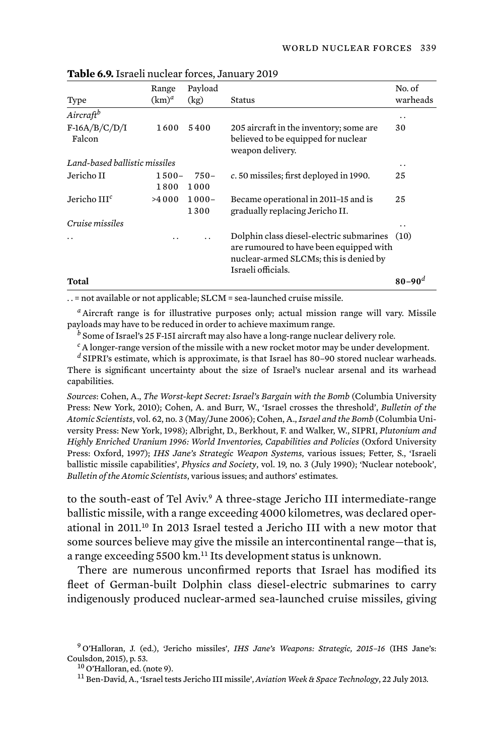|                                      | Range            | Payload          |                                                                                                                                                          | No. of      |
|--------------------------------------|------------------|------------------|----------------------------------------------------------------------------------------------------------------------------------------------------------|-------------|
| Type                                 | $(km)^d$         | (kg)             | Status                                                                                                                                                   | warheads    |
| Aircraftb                            |                  |                  |                                                                                                                                                          | $\cdot$ .   |
| $F-I6A/B/C/D/I$<br>Falcon            | 1600             | 5400             | 205 aircraft in the inventory; some are<br>believed to be equipped for nuclear<br>weapon delivery.                                                       | 30          |
| Land-based ballistic missiles<br>. . |                  |                  |                                                                                                                                                          |             |
| Jericho II                           | $1500 -$<br>1800 | $750-$<br>1000   | c. 50 missiles; first deployed in 1990.                                                                                                                  | 25          |
| Jericho III <sup>c</sup>             | >4000            | $1000 -$<br>1300 | Became operational in 2011-15 and is<br>gradually replacing Jericho II.                                                                                  | 25          |
| Cruise missiles                      |                  |                  |                                                                                                                                                          |             |
| . .                                  |                  |                  | Dolphin class diesel-electric submarines (10)<br>are rumoured to have been equipped with<br>nuclear-armed SLCMs; this is denied by<br>Israeli officials. |             |
| Total                                |                  |                  |                                                                                                                                                          | $80 - 90^a$ |

**Table 6.9.** Israeli nuclear forces, January 2019

. . = not available or not applicable; SLCM = sea-launched cruise missile.

*<sup>a</sup>* Aircraft range is for illustrative purposes only; actual mission range will vary. Missile payloads may have to be reduced in order to achieve maximum range.

*<sup>b</sup>* Some of Israel's 25 F-15I aircraft may also have a long-range nuclear delivery role.

*<sup>c</sup>* A longer-range version of the missile with a new rocket motor may be under development.

*<sup>d</sup>* SIPRI's estimate, which is approximate, is that Israel has 80–90 stored nuclear warheads. There is significant uncertainty about the size of Israel's nuclear arsenal and its warhead capabilities.

*Sources*: Cohen, A., *The Worst-kept Secret: Israel's Bargain with the Bomb* (Columbia University Press: New York, 2010); Cohen, A. and Burr, W., 'Israel crosses the threshold', *Bulletin of the Atomic Scientists*, vol. 62, no. 3 (May/June 2006); Cohen, A., *Israel and the Bomb* (Columbia University Press: New York, 1998); Albright, D., Berkhout, F. and Walker, W., SIPRI, *Plutonium and Highly Enriched Uranium 1996: World Inventories, Capabilities and Policies* (Oxford University Press: Oxford, 1997); *IHS Jane's Strategic Weapon Systems*, various issues; Fetter, S., 'Israeli ballistic missile capabilities', *Physics and Society*, vol. 19, no. 3 (July 1990); 'Nuclear notebook', *Bulletin of the Atomic Scientists*, various issues; and authors' estimates.

to the south-east of Tel Aviv.9 A three-stage Jericho III intermediate-range ballistic missile, with a range exceeding 4000 kilometres, was declared operational in 2011.10 In 2013 Israel tested a Jericho III with a new motor that some sources believe may give the missile an intercontinental range—that is, a range exceeding 5500 km.<sup>11</sup> Its development status is unknown.

There are numerous unconfirmed reports that Israel has modified its fleet of German-built Dolphin class diesel-electric submarines to carry indigenously produced nuclear-armed sea-launched cruise missiles, giving

<sup>9</sup> O'Halloran, J. (ed.), 'Jericho missiles', *IHS Jane's Weapons: Strategic, 2015–16* (IHS Jane's: Coulsdon, 2015), p. 53. <sup>10</sup> O'Halloran, ed. (note 9). <sup>11</sup> Ben-David, A., 'Israel tests Jericho III missile', *Aviation Week & Space Technology*, 22 July 2013.